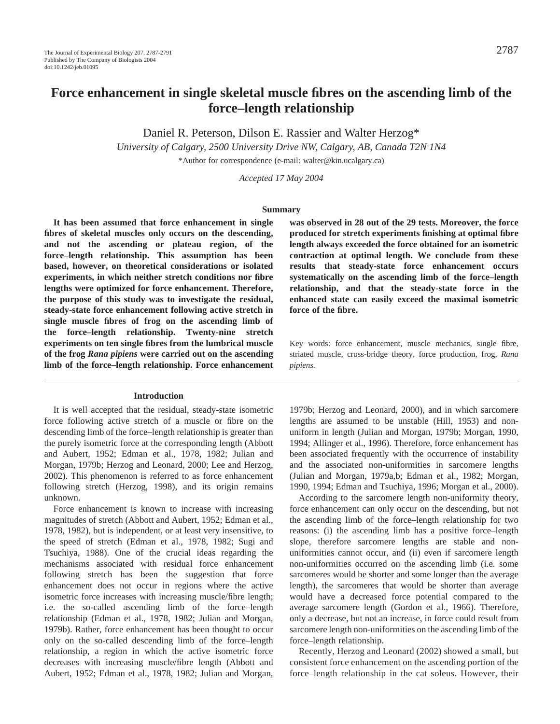# **Force enhancement in single skeletal muscle fibres on the ascending limb of the force–length relationship**

Daniel R. Peterson, Dilson E. Rassier and Walter Herzog\*

*University of Calgary, 2500 University Drive NW, Calgary, AB, Canada T2N 1N4*

\*Author for correspondence (e-mail: walter@kin.ucalgary.ca)

*Accepted 17 May 2004*

### **Summary**

**It has been assumed that force enhancement in single fibres of skeletal muscles only occurs on the descending, and not the ascending or plateau region, of the force–length relationship. This assumption has been based, however, on theoretical considerations or isolated experiments, in which neither stretch conditions nor fibre lengths were optimized for force enhancement. Therefore, the purpose of this study was to investigate the residual, steady-state force enhancement following active stretch in single muscle fibres of frog on the ascending limb of the force–length relationship. Twenty-nine stretch experiments on ten single fibres from the lumbrical muscle of the frog** *Rana pipiens* **were carried out on the ascending limb of the force–length relationship. Force enhancement**

#### **Introduction**

It is well accepted that the residual, steady-state isometric force following active stretch of a muscle or fibre on the descending limb of the force–length relationship is greater than the purely isometric force at the corresponding length (Abbott and Aubert, 1952; Edman et al., 1978, 1982; Julian and Morgan, 1979b; Herzog and Leonard, 2000; Lee and Herzog, 2002). This phenomenon is referred to as force enhancement following stretch (Herzog, 1998), and its origin remains unknown.

Force enhancement is known to increase with increasing magnitudes of stretch (Abbott and Aubert, 1952; Edman et al., 1978, 1982), but is independent, or at least very insensitive, to the speed of stretch (Edman et al., 1978, 1982; Sugi and Tsuchiya, 1988). One of the crucial ideas regarding the mechanisms associated with residual force enhancement following stretch has been the suggestion that force enhancement does not occur in regions where the active isometric force increases with increasing muscle/fibre length; i.e. the so-called ascending limb of the force–length relationship (Edman et al., 1978, 1982; Julian and Morgan, 1979b). Rather, force enhancement has been thought to occur only on the so-called descending limb of the force–length relationship, a region in which the active isometric force decreases with increasing muscle/fibre length (Abbott and Aubert, 1952; Edman et al., 1978, 1982; Julian and Morgan,

**was observed in 28 out of the 29 tests. Moreover, the force produced for stretch experiments finishing at optimal fibre length always exceeded the force obtained for an isometric contraction at optimal length. We conclude from these results that steady-state force enhancement occurs systematically on the ascending limb of the force–length relationship, and that the steady-state force in the enhanced state can easily exceed the maximal isometric force of the fibre.**

Key words: force enhancement, muscle mechanics, single fibre, striated muscle, cross-bridge theory, force production, frog, *Rana pipiens.*

1979b; Herzog and Leonard, 2000), and in which sarcomere lengths are assumed to be unstable (Hill, 1953) and nonuniform in length (Julian and Morgan, 1979b; Morgan, 1990, 1994; Allinger et al., 1996). Therefore, force enhancement has been associated frequently with the occurrence of instability and the associated non-uniformities in sarcomere lengths (Julian and Morgan, 1979a,b; Edman et al., 1982; Morgan, 1990, 1994; Edman and Tsuchiya, 1996; Morgan et al., 2000).

According to the sarcomere length non-uniformity theory, force enhancement can only occur on the descending, but not the ascending limb of the force–length relationship for two reasons: (i) the ascending limb has a positive force–length slope, therefore sarcomere lengths are stable and nonuniformities cannot occur, and (ii) even if sarcomere length non-uniformities occurred on the ascending limb (i.e. some sarcomeres would be shorter and some longer than the average length), the sarcomeres that would be shorter than average would have a decreased force potential compared to the average sarcomere length (Gordon et al., 1966). Therefore, only a decrease, but not an increase, in force could result from sarcomere length non-uniformities on the ascending limb of the force–length relationship.

Recently, Herzog and Leonard (2002) showed a small, but consistent force enhancement on the ascending portion of the force–length relationship in the cat soleus. However, their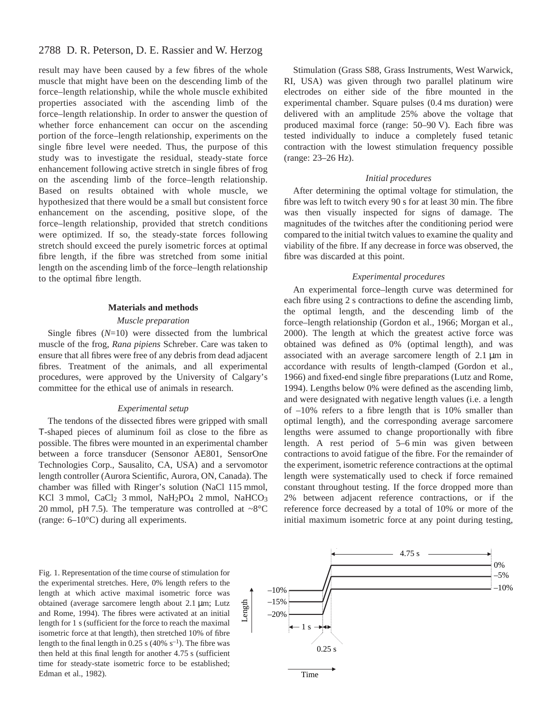## 2788 D. R. Peterson, D. E. Rassier and W. Herzog

result may have been caused by a few fibres of the whole muscle that might have been on the descending limb of the force–length relationship, while the whole muscle exhibited properties associated with the ascending limb of the force–length relationship. In order to answer the question of whether force enhancement can occur on the ascending portion of the force–length relationship, experiments on the single fibre level were needed. Thus, the purpose of this study was to investigate the residual, steady-state force enhancement following active stretch in single fibres of frog on the ascending limb of the force–length relationship. Based on results obtained with whole muscle, we hypothesized that there would be a small but consistent force enhancement on the ascending, positive slope, of the force–length relationship, provided that stretch conditions were optimized. If so, the steady-state forces following stretch should exceed the purely isometric forces at optimal fibre length, if the fibre was stretched from some initial length on the ascending limb of the force–length relationship to the optimal fibre length.

#### **Materials and methods**

#### *Muscle preparation*

Single fibres (*N*=10) were dissected from the lumbrical muscle of the frog, *Rana pipiens* Schreber. Care was taken to ensure that all fibres were free of any debris from dead adjacent fibres. Treatment of the animals, and all experimental procedures, were approved by the University of Calgary's committee for the ethical use of animals in research.

#### *Experimental setup*

The tendons of the dissected fibres were gripped with small T-shaped pieces of aluminum foil as close to the fibre as possible. The fibres were mounted in an experimental chamber between a force transducer (Sensonor AE801, SensorOne Technologies Corp., Sausalito, CA, USA) and a servomotor length controller (Aurora Scientific, Aurora, ON, Canada). The chamber was filled with Ringer's solution (NaCl 115 mmol, KCl 3 mmol, CaCl<sub>2</sub> 3 mmol, NaH<sub>2</sub>PO<sub>4</sub> 2 mmol, NaHCO<sub>3</sub> 20 mmol, pH 7.5). The temperature was controlled at  $\sim8^{\circ}$ C (range: 6–10°C) during all experiments.

Stimulation (Grass S88, Grass Instruments, West Warwick, RI, USA) was given through two parallel platinum wire electrodes on either side of the fibre mounted in the experimental chamber. Square pulses (0.4 ms duration) were delivered with an amplitude 25% above the voltage that produced maximal force (range:  $50-90$  V). Each fibre was tested individually to induce a completely fused tetanic contraction with the lowest stimulation frequency possible  $(range: 23-26 Hz).$ 

#### *Initial procedures*

After determining the optimal voltage for stimulation, the fibre was left to twitch every 90 s for at least 30 min. The fibre was then visually inspected for signs of damage. The magnitudes of the twitches after the conditioning period were compared to the initial twitch values to examine the quality and viability of the fibre. If any decrease in force was observed, the fibre was discarded at this point.

#### *Experimental procedures*

An experimental force–length curve was determined for each fibre using 2 s contractions to define the ascending limb, the optimal length, and the descending limb of the force–length relationship (Gordon et al., 1966; Morgan et al., 2000). The length at which the greatest active force was obtained was defined as 0% (optimal length), and was associated with an average sarcomere length of  $2.1 \mu m$  in accordance with results of length-clamped (Gordon et al., 1966) and fixed-end single fibre preparations (Lutz and Rome, 1994). Lengths below 0% were defined as the ascending limb, and were designated with negative length values (i.e. a length of –10% refers to a fibre length that is 10% smaller than optimal length), and the corresponding average sarcomere lengths were assumed to change proportionally with fibre length. A rest period of  $5-6$  min was given between contractions to avoid fatigue of the fibre. For the remainder of the experiment, isometric reference contractions at the optimal length were systematically used to check if force remained constant throughout testing. If the force dropped more than 2% between adjacent reference contractions, or if the reference force decreased by a total of 10% or more of the initial maximum isometric force at any point during testing,

Fig. 1. Representation of the time course of stimulation for the experimental stretches. Here, 0% length refers to the length at which active maximal isometric force was obtained (average sarcomere length about 2.1 µm; Lutz and Rome, 1994). The fibres were activated at an initial length for 1 s (sufficient for the force to reach the maximal isometric force at that length), then stretched 10% of fibre length to the final length in 0.25 s (40%  $s^{-1}$ ). The fibre was then held at this final length for another 4.75 s (sufficient time for steady-state isometric force to be established; Edman et al., 1982).

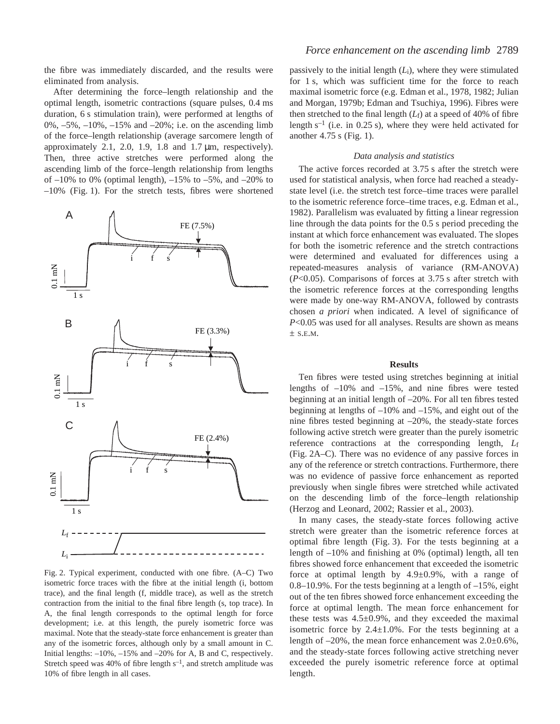the fibre was immediately discarded, and the results were eliminated from analysis.

After determining the force–length relationship and the optimal length, isometric contractions (square pulses,  $0.4$  ms duration, 6 s stimulation train), were performed at lengths of 0%, –5%, –10%, –15% and –20%; i.e. on the ascending limb of the force–length relationship (average sarcomere length of approximately 2.1, 2.0, 1.9, 1.8 and  $1.7 \mu m$ , respectively). Then, three active stretches were performed along the ascending limb of the force–length relationship from lengths of  $-10\%$  to 0% (optimal length),  $-15\%$  to  $-5\%$ , and  $-20\%$  to  $-10\%$  (Fig. 1). For the stretch tests, fibres were shortened



Fig. 2. Typical experiment, conducted with one fibre. (A–C) Two isometric force traces with the fibre at the initial length (i, bottom trace), and the final length (f, middle trace), as well as the stretch contraction from the initial to the final fibre length (s, top trace). In A, the final length corresponds to the optimal length for force development; i.e. at this length, the purely isometric force was maximal. Note that the steady-state force enhancement is greater than any of the isometric forces, although only by a small amount in C. Initial lengths: –10%, –15% and –20% for A, B and C, respectively. Stretch speed was 40% of fibre length  $s^{-1}$ , and stretch amplitude was 10% of fibre length in all cases.

passively to the initial length (*L*i), where they were stimulated for 1 s, which was sufficient time for the force to reach maximal isometric force (e.g. Edman et al., 1978, 1982; Julian and Morgan, 1979b; Edman and Tsuchiya, 1996). Fibres were then stretched to the final length  $(L_f)$  at a speed of 40% of fibre length  $s^{-1}$  (i.e. in 0.25 s), where they were held activated for another  $4.75$  s (Fig. 1).

#### *Data analysis and statistics*

The active forces recorded at 3.75 s after the stretch were used for statistical analysis, when force had reached a steadystate level (i.e. the stretch test force–time traces were parallel to the isometric reference force–time traces, e.g. Edman et al., 1982). Parallelism was evaluated by fitting a linear regression line through the data points for the  $0.5\$  s period preceding the instant at which force enhancement was evaluated. The slopes for both the isometric reference and the stretch contractions were determined and evaluated for differences using a repeated-measures analysis of variance (RM-ANOVA) (*P*<0.05). Comparisons of forces at 3.75·s after stretch with the isometric reference forces at the corresponding lengths were made by one-way RM-ANOVA, followed by contrasts chosen *a priori* when indicated. A level of significance of *P*<0.05 was used for all analyses. Results are shown as means  $\pm$  S.E.M.

#### **Results**

Ten fibres were tested using stretches beginning at initial lengths of  $-10\%$  and  $-15\%$ , and nine fibres were tested beginning at an initial length of –20%. For all ten fibres tested beginning at lengths of –10% and –15%, and eight out of the nine fibres tested beginning at –20%, the steady-state forces following active stretch were greater than the purely isometric reference contractions at the corresponding length, *L*f (Fig. 2A–C). There was no evidence of any passive forces in any of the reference or stretch contractions. Furthermore, there was no evidence of passive force enhancement as reported previously when single fibres were stretched while activated on the descending limb of the force–length relationship (Herzog and Leonard, 2002; Rassier et al., 2003).

In many cases, the steady-state forces following active stretch were greater than the isometric reference forces at optimal fibre length (Fig. 3). For the tests beginning at a length of –10% and finishing at 0% (optimal) length, all ten fibres showed force enhancement that exceeded the isometric force at optimal length by  $4.9 \pm 0.9\%$ , with a range of 0.8–10.9%. For the tests beginning at a length of –15%, eight out of the ten fibres showed force enhancement exceeding the force at optimal length. The mean force enhancement for these tests was  $4.5\pm0.9\%$ , and they exceeded the maximal isometric force by  $2.4 \pm 1.0\%$ . For the tests beginning at a length of  $-20\%$ , the mean force enhancement was  $2.0\pm0.6\%$ , and the steady-state forces following active stretching never exceeded the purely isometric reference force at optimal length.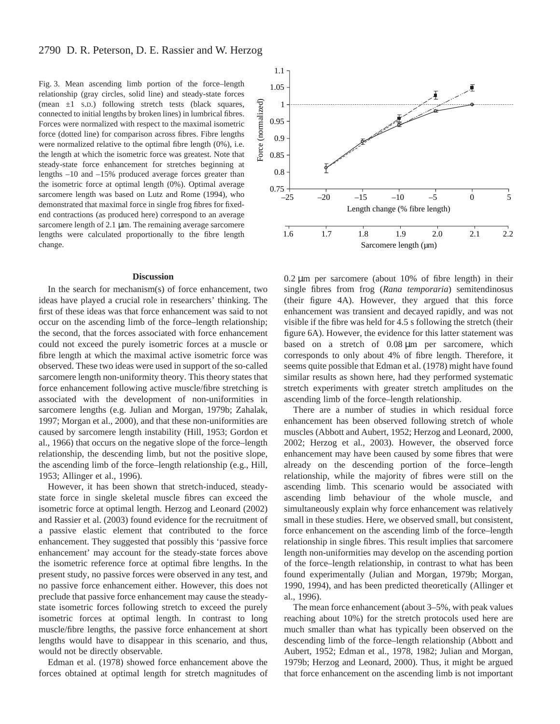## 2790 D. R. Peterson, D. E. Rassier and W. Herzog

Fig. 3. Mean ascending limb portion of the force-length relationship (gray circles, solid line) and steady-state forces (mean  $\pm 1$  s.D.) following stretch tests (black squares, connected to initial lengths by broken lines) in lumbrical fibres. Forces were normalized with respect to the maximal isometric force (dotted line) for comparison across fibres. Fibre lengths were normalized relative to the optimal fibre length (0%), i.e. the length at which the isometric force was greatest. Note that steady-state force enhancement for stretches beginning at lengths –10 and –15% produced average forces greater than the isometric force at optimal length (0%). Optimal average sarcomere length was based on Lutz and Rome (1994), who demonstrated that maximal force in single frog fibres for fixedend contractions (as produced here) correspond to an average sarcomere length of  $2.1 \mu m$ . The remaining average sarcomere lengths were calculated proportionally to the fibre length change.

#### **Discussion**

In the search for mechanism(s) of force enhancement, two ideas have played a crucial role in researchers' thinking. The first of these ideas was that force enhancement was said to not occur on the ascending limb of the force–length relationship; the second, that the forces associated with force enhancement could not exceed the purely isometric forces at a muscle or fibre length at which the maximal active isometric force was observed. These two ideas were used in support of the so-called sarcomere length non-uniformity theory. This theory states that force enhancement following active muscle/fibre stretching is associated with the development of non-uniformities in sarcomere lengths (e.g. Julian and Morgan, 1979b; Zahalak, 1997; Morgan et al., 2000), and that these non-uniformities are caused by sarcomere length instability (Hill, 1953; Gordon et al., 1966) that occurs on the negative slope of the force–length relationship, the descending limb, but not the positive slope, the ascending limb of the force–length relationship (e.g., Hill, 1953; Allinger et al., 1996).

However, it has been shown that stretch-induced, steadystate force in single skeletal muscle fibres can exceed the isometric force at optimal length. Herzog and Leonard (2002) and Rassier et al. (2003) found evidence for the recruitment of a passive elastic element that contributed to the force enhancement. They suggested that possibly this 'passive force enhancement' may account for the steady-state forces above the isometric reference force at optimal fibre lengths. In the present study, no passive forces were observed in any test, and no passive force enhancement either. However, this does not preclude that passive force enhancement may cause the steadystate isometric forces following stretch to exceed the purely isometric forces at optimal length. In contrast to long muscle/fibre lengths, the passive force enhancement at short lengths would have to disappear in this scenario, and thus, would not be directly observable.

Edman et al. (1978) showed force enhancement above the forces obtained at optimal length for stretch magnitudes of



 $0.2 \mu m$  per sarcomere (about 10% of fibre length) in their single fibres from frog (*Rana temporaria*) semitendinosus (their figure 4A). However, they argued that this force enhancement was transient and decayed rapidly, and was not visible if the fibre was held for  $4.5$  s following the stretch (their figure 6A). However, the evidence for this latter statement was based on a stretch of 0.08 µm per sarcomere, which corresponds to only about 4% of fibre length. Therefore, it seems quite possible that Edman et al. (1978) might have found similar results as shown here, had they performed systematic stretch experiments with greater stretch amplitudes on the ascending limb of the force–length relationship.

There are a number of studies in which residual force enhancement has been observed following stretch of whole muscles (Abbott and Aubert, 1952; Herzog and Leonard, 2000, 2002; Herzog et al., 2003). However, the observed force enhancement may have been caused by some fibres that were already on the descending portion of the force–length relationship, while the majority of fibres were still on the ascending limb. This scenario would be associated with ascending limb behaviour of the whole muscle, and simultaneously explain why force enhancement was relatively small in these studies. Here, we observed small, but consistent, force enhancement on the ascending limb of the force–length relationship in single fibres. This result implies that sarcomere length non-uniformities may develop on the ascending portion of the force–length relationship, in contrast to what has been found experimentally (Julian and Morgan, 1979b; Morgan, 1990, 1994), and has been predicted theoretically (Allinger et al., 1996).

The mean force enhancement (about 3–5%, with peak values reaching about 10%) for the stretch protocols used here are much smaller than what has typically been observed on the descending limb of the force–length relationship (Abbott and Aubert, 1952; Edman et al., 1978, 1982; Julian and Morgan, 1979b; Herzog and Leonard, 2000). Thus, it might be argued that force enhancement on the ascending limb is not important